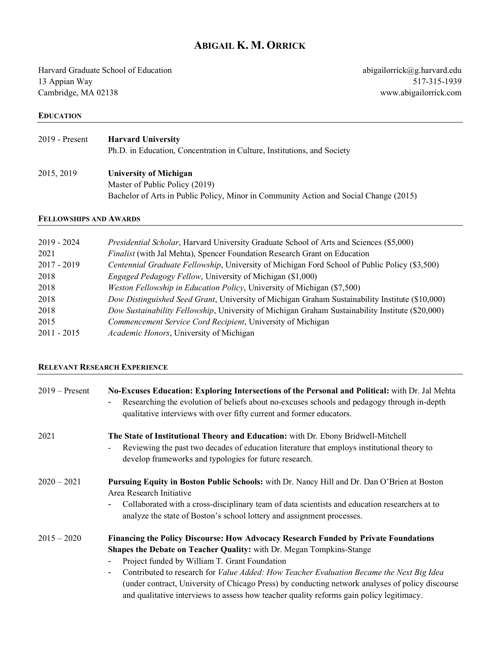# **ABIGAIL K. M. ORRICK**

Harvard Graduate School of Education 13 Appian Way Cambridge, MA 02138

abigailorrick@g.harvard.edu 517-315-1939 www.abigailorrick.com

#### **EDUCATION**

# 2019 - Present **Harvard University**

Ph.D. in Education, Concentration in Culture, Institutions, and Society

2015, 2019 **University of Michigan** Master of Public Policy (2019) Bachelor of Arts in Public Policy, Minor in Community Action and Social Change (2015)

## **FELLOWSHIPS AND AWARDS**

| $2019 - 2024$ | <i>Presidential Scholar</i> , Harvard University Graduate School of Arts and Sciences (\$5,000)  |
|---------------|--------------------------------------------------------------------------------------------------|
| 2021          | <i>Finalist</i> (with Jal Mehta), Spencer Foundation Research Grant on Education                 |
| $2017 - 2019$ | Centennial Graduate Fellowship, University of Michigan Ford School of Public Policy (\$3,500)    |
| 2018          | <i>Engaged Pedagogy Fellow, University of Michigan (\$1,000)</i>                                 |
| 2018          | <i>Weston Fellowship in Education Policy</i> , University of Michigan (\$7,500)                  |
| 2018          | Dow Distinguished Seed Grant, University of Michigan Graham Sustainability Institute (\$10,000)  |
| 2018          | Dow Sustainability Fellowship, University of Michigan Graham Sustainability Institute (\$20,000) |
| 2015          | Commencement Service Cord Recipient, University of Michigan                                      |
| $2011 - 2015$ | Academic Honors, University of Michigan                                                          |

#### **RELEVANT RESEARCH EXPERIENCE**

| $2019$ – Present | No-Excuses Education: Exploring Intersections of the Personal and Political: with Dr. Jal Mehta<br>Researching the evolution of beliefs about no-excuses schools and pedagogy through in-depth<br>qualitative interviews with over fifty current and former educators. |
|------------------|------------------------------------------------------------------------------------------------------------------------------------------------------------------------------------------------------------------------------------------------------------------------|
| 2021             | The State of Institutional Theory and Education: with Dr. Ebony Bridwell-Mitchell<br>Reviewing the past two decades of education literature that employs institutional theory to<br>develop frameworks and typologies for future research.                             |
| $2020 - 2021$    | <b>Pursuing Equity in Boston Public Schools:</b> with Dr. Nancy Hill and Dr. Dan O'Brien at Boston<br>Area Research Initiative                                                                                                                                         |
|                  | Collaborated with a cross-disciplinary team of data scientists and education researchers at to<br>analyze the state of Boston's school lottery and assignment processes.                                                                                               |
| $2015 - 2020$    | Financing the Policy Discourse: How Advocacy Research Funded by Private Foundations                                                                                                                                                                                    |
|                  | <b>Shapes the Debate on Teacher Quality:</b> with Dr. Megan Tompkins-Stange                                                                                                                                                                                            |
|                  | Project funded by William T. Grant Foundation                                                                                                                                                                                                                          |
|                  | Contributed to research for Value Added: How Teacher Evaluation Became the Next Big Idea<br>-                                                                                                                                                                          |
|                  | (under contract, University of Chicago Press) by conducting network analyses of policy discourse<br>and qualitative interviews to assess how teacher quality reforms gain policy legitimacy.                                                                           |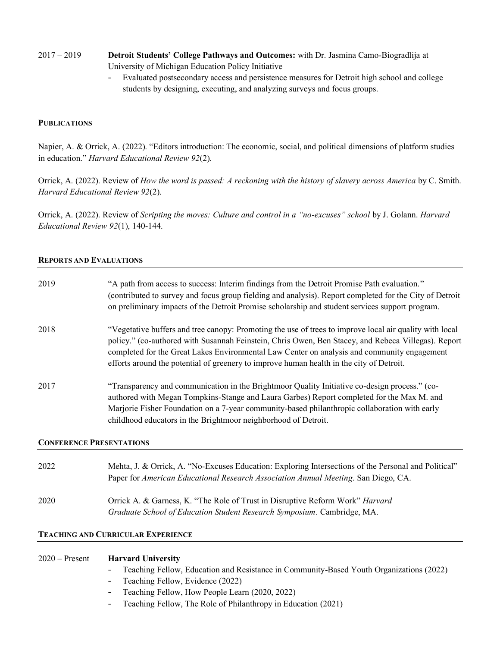# 2017 – 2019 **Detroit Students' College Pathways and Outcomes:** with Dr. Jasmina Camo-Biogradlija at University of Michigan Education Policy Initiative

- Evaluated postsecondary access and persistence measures for Detroit high school and college students by designing, executing, and analyzing surveys and focus groups.

## **PUBLICATIONS**

Napier, A. & Orrick, A. (2022). "Editors introduction: The economic, social, and political dimensions of platform studies in education." *Harvard Educational Review 92*(2).

Orrick, A. (2022). Review of *How the word is passed: A reckoning with the history of slavery across America* by C. Smith. *Harvard Educational Review 92*(2).

Orrick, A. (2022). Review of *Scripting the moves: Culture and control in a "no-excuses" school* by J. Golann. *Harvard Educational Review 92*(1), 140-144.

#### **REPORTS AND EVALUATIONS**

| 2019                            | "A path from access to success: Interim findings from the Detroit Promise Path evaluation."<br>(contributed to survey and focus group fielding and analysis). Report completed for the City of Detroit<br>on preliminary impacts of the Detroit Promise scholarship and student services support program.                                                                                                 |  |
|---------------------------------|-----------------------------------------------------------------------------------------------------------------------------------------------------------------------------------------------------------------------------------------------------------------------------------------------------------------------------------------------------------------------------------------------------------|--|
| 2018                            | "Vegetative buffers and tree canopy: Promoting the use of trees to improve local air quality with local<br>policy." (co-authored with Susannah Feinstein, Chris Owen, Ben Stacey, and Rebeca Villegas). Report<br>completed for the Great Lakes Environmental Law Center on analysis and community engagement<br>efforts around the potential of greenery to improve human health in the city of Detroit. |  |
| 2017                            | "Transparency and communication in the Brightmoor Quality Initiative co-design process." (co-<br>authored with Megan Tompkins-Stange and Laura Garbes) Report completed for the Max M. and<br>Marjorie Fisher Foundation on a 7-year community-based philanthropic collaboration with early<br>childhood educators in the Brightmoor neighborhood of Detroit.                                             |  |
| <b>CONFERENCE PRESENTATIONS</b> |                                                                                                                                                                                                                                                                                                                                                                                                           |  |
| 2022                            | Mehta, J. & Orrick, A. "No-Excuses Education: Exploring Intersections of the Personal and Political"<br>Paper for American Educational Research Association Annual Meeting. San Diego, CA.                                                                                                                                                                                                                |  |
| 2020                            | Orrick A. & Garness, K. "The Role of Trust in Disruptive Reform Work" Harvard<br>Graduate School of Education Student Research Symposium. Cambridge, MA.                                                                                                                                                                                                                                                  |  |

### **TEACHING AND CURRICULAR EXPERIENCE**

| $2020 -$ Present Harvard University                                                       |
|-------------------------------------------------------------------------------------------|
| - Teaching Fellow, Education and Resistance in Community-Based Youth Organizations (2022) |

- Teaching Fellow, Evidence (2022)
- Teaching Fellow, How People Learn (2020, 2022)
- Teaching Fellow, The Role of Philanthropy in Education (2021)